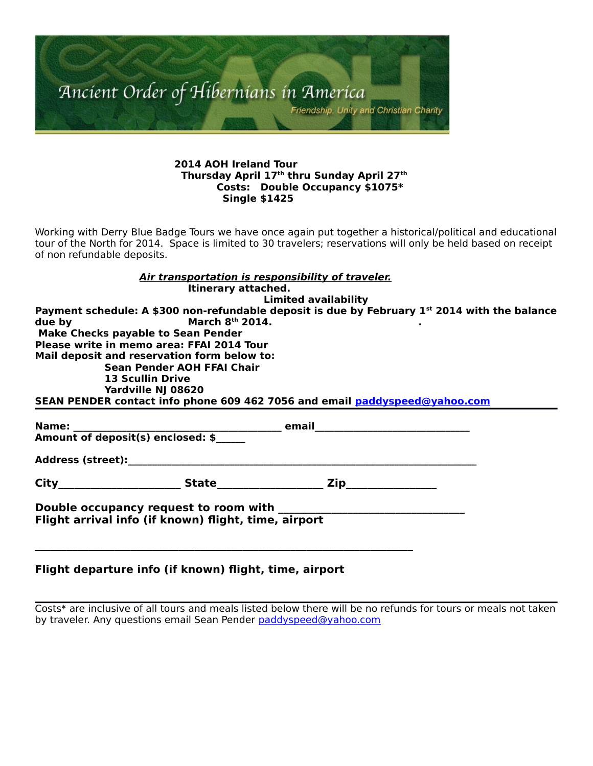

#### **2014 AOH Ireland Tour Thursday April 17th thru Sunday April 27th Costs: Double Occupancy \$1075\* Single \$1425**

Working with Derry Blue Badge Tours we have once again put together a historical/political and educational tour of the North for 2014. Space is limited to 30 travelers; reservations will only be held based on receipt of non refundable deposits.

|                         |                                                      | Air transportation is responsibility of traveler.                                                         |  |
|-------------------------|------------------------------------------------------|-----------------------------------------------------------------------------------------------------------|--|
|                         | Itinerary attached.                                  |                                                                                                           |  |
|                         |                                                      | <b>Limited availability</b>                                                                               |  |
|                         |                                                      | Payment schedule: A \$300 non-refundable deposit is due by February 1 <sup>st</sup> 2014 with the balance |  |
| due by                  | March $8th$ 2014.                                    |                                                                                                           |  |
|                         | <b>Make Checks payable to Sean Pender</b>            |                                                                                                           |  |
|                         | Please write in memo area: FFAI 2014 Tour            |                                                                                                           |  |
|                         | Mail deposit and reservation form below to:          |                                                                                                           |  |
|                         | Sean Pender AOH FFAI Chair                           |                                                                                                           |  |
| <b>13 Scullin Drive</b> |                                                      |                                                                                                           |  |
|                         | Yardville NJ 08620                                   |                                                                                                           |  |
|                         |                                                      | SEAN PENDER contact info phone 609 462 7056 and email paddyspeed@yahoo.com                                |  |
|                         |                                                      |                                                                                                           |  |
|                         |                                                      |                                                                                                           |  |
|                         |                                                      |                                                                                                           |  |
|                         |                                                      |                                                                                                           |  |
|                         |                                                      |                                                                                                           |  |
|                         | Flight arrival info (if known) flight, time, airport |                                                                                                           |  |
|                         |                                                      |                                                                                                           |  |

## **Flight departure info (if known) flight, time, airport**

Costs\* are inclusive of all tours and meals listed below there will be no refunds for tours or meals not taken by traveler. Any questions email Sean Pender [paddyspeed@yahoo.com](mailto:paddyspeed@yahoo.com)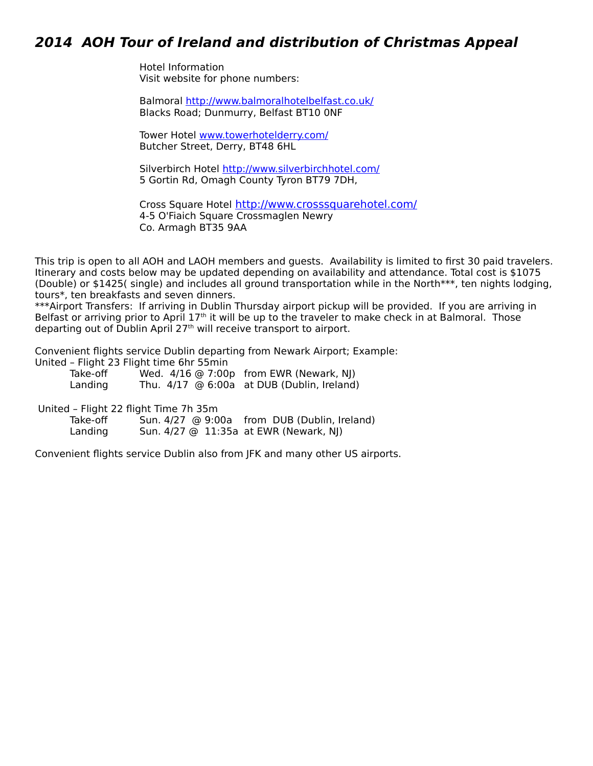# **2014 AOH Tour of Ireland and distribution of Christmas Appeal**

Hotel Information Visit website for phone numbers:

Balmoral<http://www.balmoralhotelbelfast.co.uk/> Blacks Road; Dunmurry, Belfast BT10 0NF

 Tower Hotel [www.towerhotelderry.com/](http://www.towerhotelderry.com/) Butcher Street, Derry, BT48 6HL

Silverbirch Hotel<http://www.silverbirchhotel.com/> 5 Gortin Rd, Omagh County Tyron BT79 7DH,

Cross Square Hotel <http://www.crosssquarehotel.com/> 4-5 O'Fiaich Square Crossmaglen Newry Co. Armagh BT35 9AA

This trip is open to all AOH and LAOH members and guests. Availability is limited to first 30 paid travelers. Itinerary and costs below may be updated depending on availability and attendance. Total cost is \$1075 (Double) or \$1425( single) and includes all ground transportation while in the North\*\*\*, ten nights lodging, tours\*, ten breakfasts and seven dinners.

\*\*\*Airport Transfers: If arriving in Dublin Thursday airport pickup will be provided. If you are arriving in Belfast or arriving prior to April 17<sup>th</sup> it will be up to the traveler to make check in at Balmoral. Those departing out of Dublin April 27<sup>th</sup> will receive transport to airport.

Convenient flights service Dublin departing from Newark Airport; Example:

United – Flight 23 Flight time 6hr 55min

Take-off Wed.  $4/16$  @ 7:00p from EWR (Newark, NJ) Landing Thu. 4/17 @ 6:00a at DUB (Dublin, Ireland)

United – Flight 22 flight Time 7h 35m

Take-off Sun. 4/27  $\odot$  9:00a from DUB (Dublin, Ireland)<br>Landing Sun. 4/27  $\odot$  11:35a at EWR (Newark, NJ) Sun. 4/27 @ 11:35a at EWR (Newark, NJ)

Convenient flights service Dublin also from JFK and many other US airports.